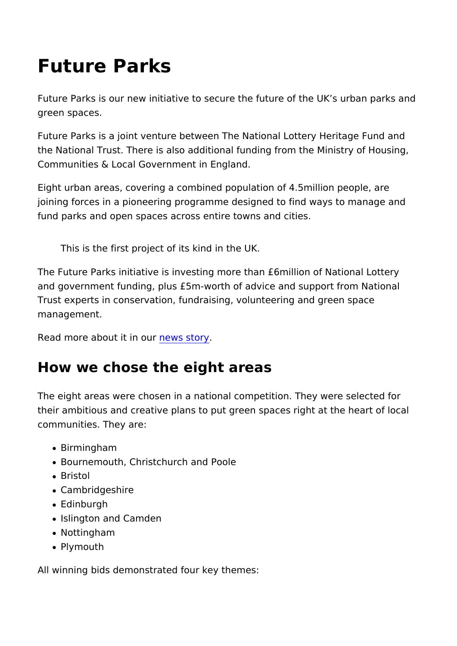## Future Parks

Future Parks is our new initiative to secure the future of the UI green spaces.

Future Parks is a joint venture between The National Lottery He the National Trust. There is also additional funding from the Mi Communities & Local Government in England.

Eight urban areas, covering a combined population of 4.5millior joining forces in a pioneering programme designed to find ways fund parks and open spaces across entire towns and cities.

This is the first project of its kind in the UK.

The Future Parks initiative is investing more than £6million of I and government funding, plus £5m-worth of advice and support Trust experts in conservation, fundraising, volunteering and gre management.

Read more about itnews ustory

## How we chose the eight areas

The eight areas were chosen in a national competition. They we their ambitious and creative plans to put green spaces right at communities. They are:

- Birmingham
- Bournemouth, Christchurch and Poole
- Bristol
- Cambridgeshire
- Edinburgh
- Islington and Camden
- Nottingham
- Plymouth

All winning bids demonstrated four key themes: